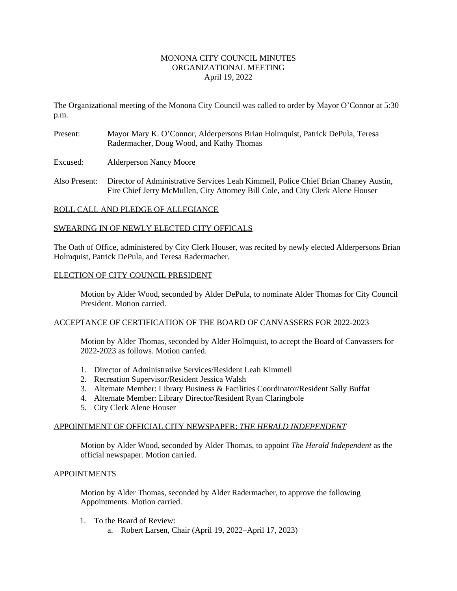### MONONA CITY COUNCIL MINUTES ORGANIZATIONAL MEETING April 19, 2022

The Organizational meeting of the Monona City Council was called to order by Mayor O'Connor at 5:30 p.m.

- Present: Mayor Mary K. O'Connor, Alderpersons Brian Holmquist, Patrick DePula, Teresa Radermacher, Doug Wood, and Kathy Thomas
- Excused: Alderperson Nancy Moore
- Also Present: Director of Administrative Services Leah Kimmell, Police Chief Brian Chaney Austin, Fire Chief Jerry McMullen, City Attorney Bill Cole, and City Clerk Alene Houser

# ROLL CALL AND PLEDGE OF ALLEGIANCE

# SWEARING IN OF NEWLY ELECTED CITY OFFICALS

The Oath of Office, administered by City Clerk Houser, was recited by newly elected Alderpersons Brian Holmquist, Patrick DePula, and Teresa Radermacher.

# ELECTION OF CITY COUNCIL PRESIDENT

Motion by Alder Wood, seconded by Alder DePula, to nominate Alder Thomas for City Council President. Motion carried.

# ACCEPTANCE OF CERTIFICATION OF THE BOARD OF CANVASSERS FOR 2022-2023

Motion by Alder Thomas, seconded by Alder Holmquist, to accept the Board of Canvassers for 2022-2023 as follows. Motion carried.

- 1. Director of Administrative Services/Resident Leah Kimmell
- 2. Recreation Supervisor/Resident Jessica Walsh
- 3. Alternate Member: Library Business & Facilities Coordinator/Resident Sally Buffat
- 4. Alternate Member: Library Director/Resident Ryan Claringbole
- 5. City Clerk Alene Houser

# APPOINTMENT OF OFFICIAL CITY NEWSPAPER: *THE HERALD INDEPENDENT*

Motion by Alder Wood, seconded by Alder Thomas, to appoint *The Herald Independent* as the official newspaper. Motion carried.

### APPOINTMENTS

Motion by Alder Thomas, seconded by Alder Radermacher, to approve the following Appointments. Motion carried.

- 1. To the Board of Review:
	- a. Robert Larsen, Chair (April 19, 2022–April 17, 2023)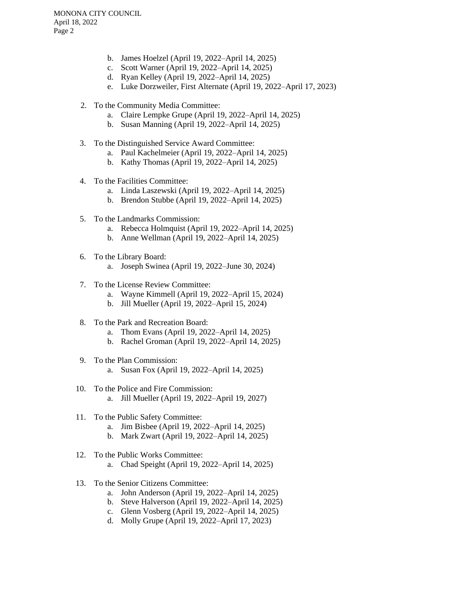- b. James Hoelzel (April 19, 2022–April 14, 2025)
- c. Scott Warner (April 19, 2022–April 14, 2025)
- d. Ryan Kelley (April 19, 2022–April 14, 2025)
- e. Luke Dorzweiler, First Alternate (April 19, 2022–April 17, 2023)
- 2. To the Community Media Committee:
	- a. Claire Lempke Grupe (April 19, 2022–April 14, 2025)
	- b. Susan Manning (April 19, 2022–April 14, 2025)
- 3. To the Distinguished Service Award Committee:
	- a. Paul Kachelmeier (April 19, 2022–April 14, 2025)
	- b. Kathy Thomas (April 19, 2022–April 14, 2025)
- 4. To the Facilities Committee:
	- a. Linda Laszewski (April 19, 2022–April 14, 2025)
	- b. Brendon Stubbe (April 19, 2022–April 14, 2025)
- 5. To the Landmarks Commission:
	- a. Rebecca Holmquist (April 19, 2022–April 14, 2025)
	- b. Anne Wellman (April 19, 2022–April 14, 2025)
- 6. To the Library Board:
	- a. Joseph Swinea (April 19, 2022–June 30, 2024)
- 7. To the License Review Committee:
	- a. Wayne Kimmell (April 19, 2022–April 15, 2024)
	- b. Jill Mueller (April 19, 2022–April 15, 2024)
- 8. To the Park and Recreation Board:
	- a. Thom Evans (April 19, 2022–April 14, 2025)
	- b. Rachel Groman (April 19, 2022–April 14, 2025)
- 9. To the Plan Commission: a. Susan Fox (April 19, 2022–April 14, 2025)
- 10. To the Police and Fire Commission: a. Jill Mueller (April 19, 2022–April 19, 2027)
- 11. To the Public Safety Committee:
	- a. Jim Bisbee (April 19, 2022–April 14, 2025)
	- b. Mark Zwart (April 19, 2022–April 14, 2025)
- 12. To the Public Works Committee: a. Chad Speight (April 19, 2022–April 14, 2025)
- 13. To the Senior Citizens Committee:
	- a. John Anderson (April 19, 2022–April 14, 2025)
	- b. Steve Halverson (April 19, 2022–April 14, 2025)
	- c. Glenn Vosberg (April 19, 2022–April 14, 2025)
	- d. Molly Grupe (April 19, 2022–April 17, 2023)